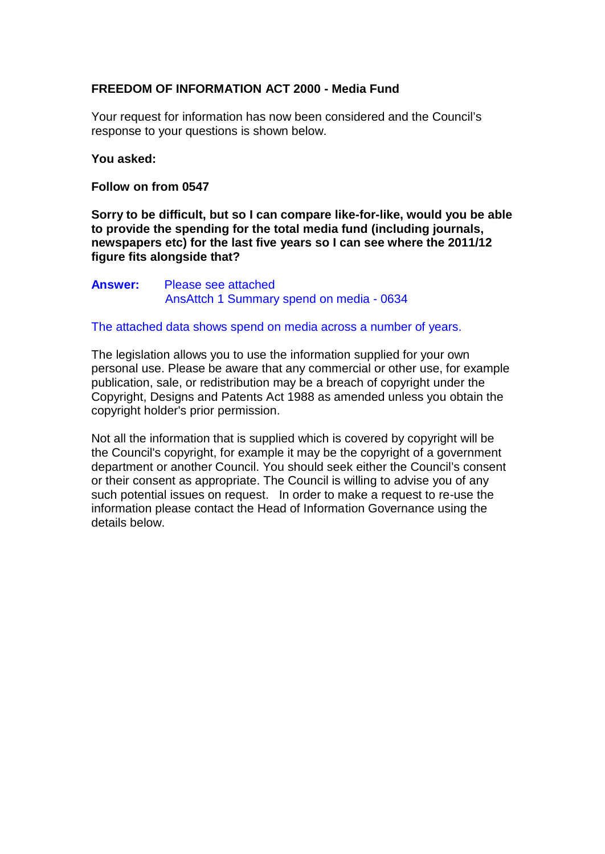## **FREEDOM OF INFORMATION ACT 2000 - Media Fund**

Your request for information has now been considered and the Council's response to your questions is shown below.

## **You asked:**

**Follow on from 0547**

**Sorry to be difficult, but so I can compare like-for-like, would you be able to provide the spending for the total media fund (including journals, newspapers etc) for the last five years so I can see where the 2011/12 figure fits alongside that?**

## **Answer:** Please see attached AnsAttch 1 Summary spend on media - 0634

## The attached data shows spend on media across a number of years.

The legislation allows you to use the information supplied for your own personal use. Please be aware that any commercial or other use, for example publication, sale, or redistribution may be a breach of copyright under the Copyright, Designs and Patents Act 1988 as amended unless you obtain the copyright holder's prior permission.

Not all the information that is supplied which is covered by copyright will be the Council's copyright, for example it may be the copyright of a government department or another Council. You should seek either the Council's consent or their consent as appropriate. The Council is willing to advise you of any such potential issues on request. In order to make a request to re-use the information please contact the Head of Information Governance using the details below.